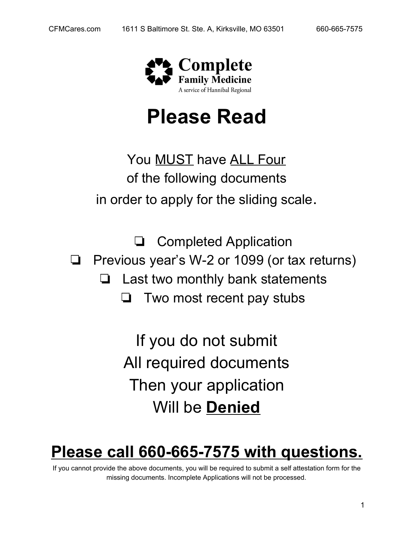

# **Please Read**

You MUST have ALL Four of the following documents in order to apply for the sliding scale.

❏ Completed Application ❏ Previous year's W-2 or 1099 (or tax returns) ❏ Last two monthly bank statements ❏ Two most recent pay stubs

> If you do not submit All required documents Then your application Will be **Denied**

## **Please call 660-665-7575 with questions.**

If you cannot provide the above documents, you will be required to submit a self attestation form for the missing documents. Incomplete Applications will not be processed.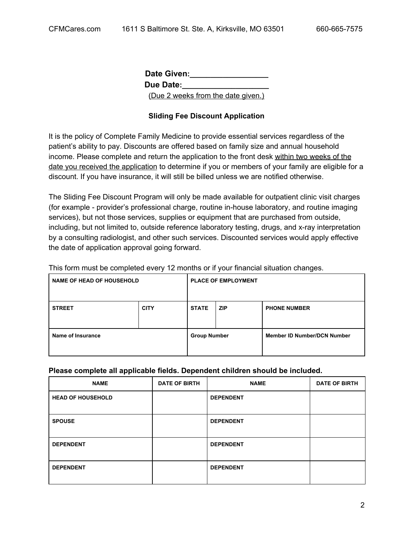**Date Given:\_\_\_\_\_\_\_\_\_\_\_\_\_\_\_\_\_\_\_** Due Date: (Due 2 weeks from the date given.)

#### **Sliding Fee Discount Application**

It is the policy of Complete Family Medicine to provide essential services regardless of the patient's ability to pay. Discounts are offered based on family size and annual household income. Please complete and return the application to the front desk within two weeks of the date you received the application to determine if you or members of your family are eligible for a discount. If you have insurance, it will still be billed unless we are notified otherwise.

The Sliding Fee Discount Program will only be made available for outpatient clinic visit charges (for example - provider's professional charge, routine in-house laboratory, and routine imaging services), but not those services, supplies or equipment that are purchased from outside, including, but not limited to, outside reference laboratory testing, drugs, and x-ray interpretation by a consulting radiologist, and other such services. Discounted services would apply effective the date of application approval going forward.

This form must be completed every 12 months or if your financial situation changes.

| <b>NAME OF HEAD OF HOUSEHOLD</b> |             | <b>PLACE OF EMPLOYMENT</b> |            |                                    |
|----------------------------------|-------------|----------------------------|------------|------------------------------------|
| <b>STREET</b>                    | <b>CITY</b> | <b>STATE</b>               | <b>ZIP</b> | <b>PHONE NUMBER</b>                |
| Name of Insurance                |             | <b>Group Number</b>        |            | <b>Member ID Number/DCN Number</b> |

#### **Please complete all applicable fields. Dependent children should be included.**

| <b>NAME</b>              | <b>DATE OF BIRTH</b> | <b>NAME</b>      | <b>DATE OF BIRTH</b> |
|--------------------------|----------------------|------------------|----------------------|
| <b>HEAD OF HOUSEHOLD</b> |                      | <b>DEPENDENT</b> |                      |
| <b>SPOUSE</b>            |                      | <b>DEPENDENT</b> |                      |
| <b>DEPENDENT</b>         |                      | <b>DEPENDENT</b> |                      |
| <b>DEPENDENT</b>         |                      | <b>DEPENDENT</b> |                      |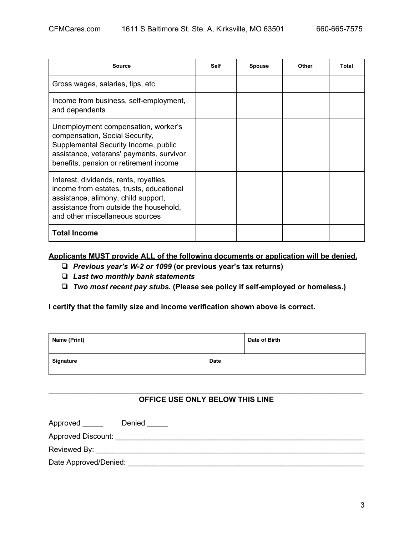| Source                                                                                                                                                                                                 | <b>Self</b> | <b>Spouse</b> | Other | <b>Total</b> |
|--------------------------------------------------------------------------------------------------------------------------------------------------------------------------------------------------------|-------------|---------------|-------|--------------|
| Gross wages, salaries, tips, etc.                                                                                                                                                                      |             |               |       |              |
| Income from business, self-employment,<br>and dependents                                                                                                                                               |             |               |       |              |
| Unemployment compensation, worker's<br>compensation, Social Security,<br>Supplemental Security Income, public<br>assistance, veterans' payments, survivor<br>benefits, pension or retirement income    |             |               |       |              |
| Interest, dividends, rents, royalties,<br>income from estates, trusts, educational<br>assistance, alimony, child support,<br>assistance from outside the household,<br>and other miscellaneous sources |             |               |       |              |
| <b>Total Income</b>                                                                                                                                                                                    |             |               |       |              |

**Applicants MUST provide ALL of the following documents or application will be denied.**

- ❏ *Previous year's W-2 or 1099* **(or previous year's tax returns)**
- ❏ *Last two monthly bank statements*
- ❏ *Two most recent pay stubs.* **(Please see policy if self-employed or homeless.)**

**I certify that the family size and income verification shown above is correct.**

| Name (Print) |      | Date of Birth |
|--------------|------|---------------|
| Signature    | Date |               |

#### **\_\_\_\_\_\_\_\_\_\_\_\_\_\_\_\_\_\_\_\_\_\_\_\_\_\_\_\_\_\_\_\_\_\_\_\_\_\_\_\_\_\_\_\_\_\_\_\_\_\_\_\_\_\_\_\_\_\_\_\_\_\_\_\_\_\_\_\_\_\_\_\_\_\_\_\_ OFFICE USE ONLY BELOW THIS LINE**

| Approved | Denied |
|----------|--------|
|----------|--------|

Approved Discount: \_\_\_\_\_\_\_\_\_\_\_\_\_\_\_\_\_\_\_\_\_\_\_\_\_\_\_\_\_\_\_\_\_\_\_\_\_\_\_\_\_\_\_\_\_\_\_\_\_\_\_\_\_\_\_\_\_\_\_\_

Reviewed By: \_\_\_\_\_\_\_\_\_\_\_\_\_\_\_\_\_\_\_\_\_\_\_\_\_\_\_\_\_\_\_\_\_\_\_\_\_\_\_\_\_\_\_\_\_\_\_\_\_\_\_\_\_\_\_\_\_\_\_\_\_\_\_\_\_

Date Approved/Denied: \_\_\_\_\_\_\_\_\_\_\_\_\_\_\_\_\_\_\_\_\_\_\_\_\_\_\_\_\_\_\_\_\_\_\_\_\_\_\_\_\_\_\_\_\_\_\_\_\_\_\_\_\_\_\_\_\_